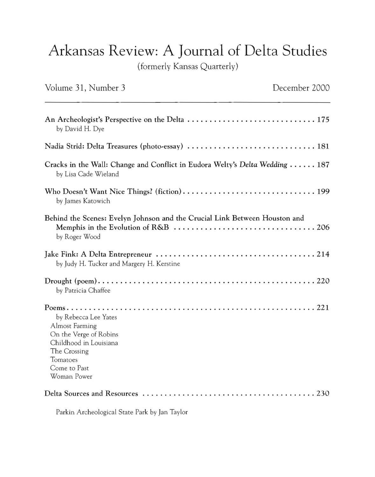## Arkansas Review: A Journal of Delta Studies

(formerly Kansas Quarterly)

| Volume 31, Number 3                                                                                                                                          | December 2000 |
|--------------------------------------------------------------------------------------------------------------------------------------------------------------|---------------|
| by David H. Dye                                                                                                                                              |               |
| Nadia Strid: Delta Treasures (photo-essay)  181                                                                                                              |               |
| Cracks in the Wall: Change and Conflict in Eudora Welty's Delta Wedding  187<br>by Lisa Cade Wieland                                                         |               |
| by James Katowich                                                                                                                                            |               |
| Behind the Scenes: Evelyn Johnson and the Crucial Link Between Houston and<br>by Roger Wood                                                                  |               |
| by Judy H. Tucker and Margery H. Kerstine                                                                                                                    |               |
| by Patricia Chaffee                                                                                                                                          |               |
| by Rebecca Lee Yates<br><b>Almost Farming</b><br>On the Verge of Robins<br>Childhood in Louisiana<br>The Crossing<br>Tomatoes<br>Come to Past<br>Woman Power |               |
|                                                                                                                                                              |               |

Parkin Archeological State Park by Jan Taylor